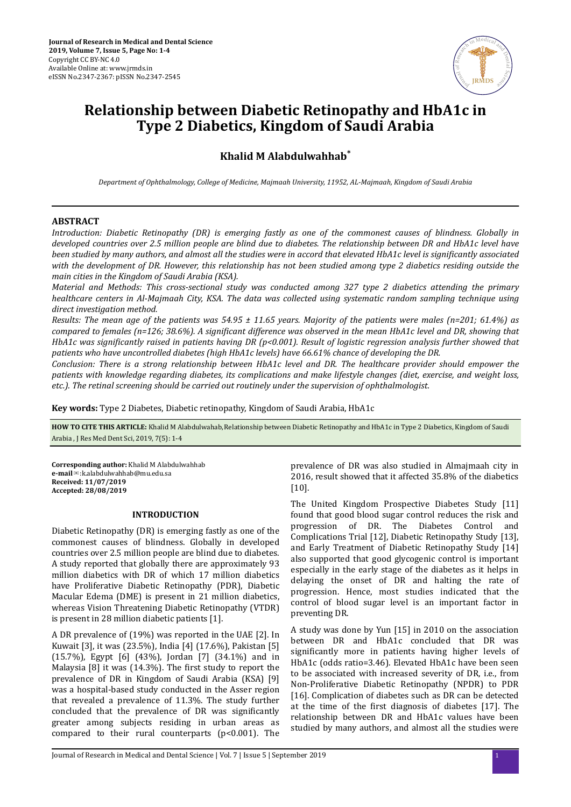

# **Relationship between Diabetic Retinopathy and HbA1c in Type 2 Diabetics, Kingdom of Saudi Arabia**

**Khalid M Alabdulwahhab\***

*Department of Ophthalmology, College of Medicine, Majmaah University, 11952, AL-Majmaah, Kingdom of Saudi Arabia*

# **ABSTRACT**

*Introduction: Diabetic Retinopathy (DR) is emerging fastly as one of the commonest causes of blindness. Globally in developed countries over 2.5 million people are blind due to diabetes. The relationship between DR and HbA1c level have been studied by many authors, and almost all the studies were in accord that elevated HbA1c level is significantly associated with the development of DR. However, this relationship has not been studied among type 2 diabetics residing outside the main cities in the Kingdom of Saudi Arabia (KSA).*

*Material and Methods: This cross-sectional study was conducted among 327 type 2 diabetics attending the primary healthcare centers in Al-Majmaah City, KSA. The data was collected using systematic random sampling technique using direct investigation method.*

*Results: The mean age of the patients was 54.95 ± 11.65 years. Majority of the patients were males (n=201; 61.4%) as compared to females (n=126; 38.6%). A significant difference was observed in the mean HbA1c level and DR, showing that HbA1c was significantly raised in patients having DR (p<0.001). Result of logistic regression analysis further showed that patients who have uncontrolled diabetes (high HbA1c levels) have 66.61% chance of developing the DR.*

*Conclusion: There is a strong relationship between HbA1c level and DR. The healthcare provider should empower the patients with knowledge regarding diabetes, its complications and make lifestyle changes (diet, exercise, and weight loss, etc.). The retinal screening should be carried out routinely under the supervision of ophthalmologist.*

**Key words:** Type 2 Diabetes, Diabetic retinopathy, Kingdom of Saudi Arabia, HbA1c

HOW TO CITE THIS ARTICLE: Khalid M Alabdulwahab, Relationship between Diabetic Retinopathy and HbA1c in Type 2 Diabetics, Kingdom of Saudi Arabia , J Res Med Dent Sci, 2019, 7(5): 1-4

**Corresponding author:** Khalid M Alabdulwahhab **e-mail**✉:k.alabdulwahhab@mu.edu.sa **Received: 11/07/2019 Accepted: 28/08/2019** 

## **INTRODUCTION**

Diabetic Retinopathy (DR) is emerging fastly as one of the commonest causes of blindness. Globally in developed countries over 2.5 million people are blind due to diabetes. A study reported that globally there are approximately 93 million diabetics with DR of which 17 million diabetics have Proliferative Diabetic Retinopathy (PDR), Diabetic Macular Edema (DME) is present in 21 million diabetics, whereas Vision Threatening Diabetic Retinopathy (VTDR) is present in 28 million diabetic patients [1].

A DR prevalence of (19%) was reported in the UAE [2]. In Kuwait [3], it was (23.5%), India [4] (17.6%), Pakistan [5] (15.7%), Egypt [6] (43%), Jordan [7] (34.1%) and in Malaysia  $[8]$  it was  $(14.3\%)$ . The first study to report the prevalence of DR in Kingdom of Saudi Arabia (KSA) [9] was a hospital-based study conducted in the Asser region that revealed a prevalence of 11.3%. The study further concluded that the prevalence of DR was significantly greater among subjects residing in urban areas as compared to their rural counterparts ( $p$ <0.001). The

prevalence of DR was also studied in Almajmaah city in 2016, result showed that it affected 35.8% of the diabetics [10].

The United Kingdom Prospective Diabetes Study [11] found that good blood sugar control reduces the risk and progression of DR. The Diabetes Control and Complications Trial [12], Diabetic Retinopathy Study [13], and Early Treatment of Diabetic Retinopathy Study [14] also supported that good glycogenic control is important especially in the early stage of the diabetes as it helps in delaying the onset of DR and halting the rate of progression. Hence, most studies indicated that the control of blood sugar level is an important factor in preventing DR.

A study was done by Yun [15] in 2010 on the association between DR and HbA1c concluded that DR was significantly more in patients having higher levels of HbA1c (odds ratio=3.46). Elevated HbA1c have been seen to be associated with increased severity of DR, i.e., from Non-Proliferative Diabetic Retinopathy (NPDR) to PDR [16]. Complication of diabetes such as DR can be detected at the time of the first diagnosis of diabetes [17]. The relationship between DR and HbA1c values have been studied by many authors, and almost all the studies were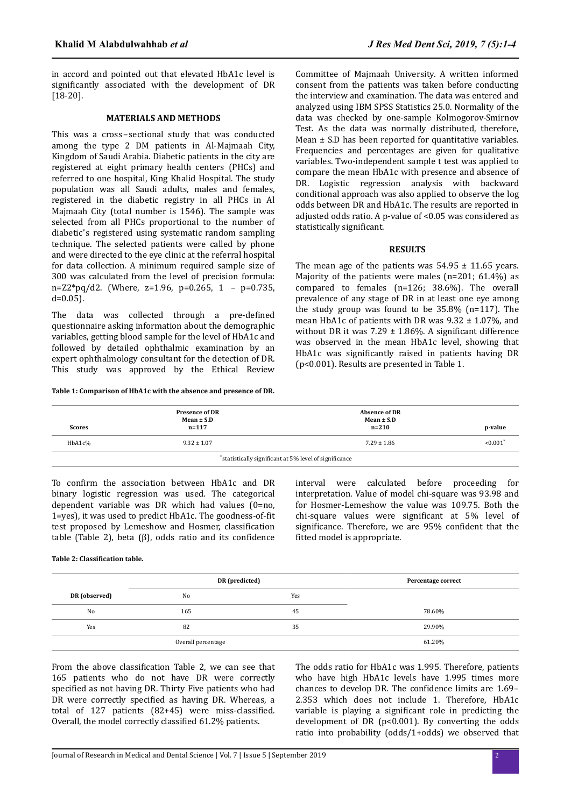in accord and pointed out that elevated HbA1c level is significantly associated with the development of DR [18-20].

### **MATERIALS AND METHODS**

This was a cross–sectional study that was conducted among the type 2 DM patients in Al-Majmaah City, Kingdom of Saudi Arabia. Diabetic patients in the city are registered at eight primary health centers (PHCs) and referred to one hospital, King Khalid Hospital. The study population was all Saudi adults, males and females, registered in the diabetic registry in all PHCs in Al Majmaah City (total number is 1546). The sample was selected from all PHCs proportional to the number of diabetic's registered using systematic random sampling technique. The selected patients were called by phone and were directed to the eye clinic at the referral hospital for data collection. A minimum required sample size of 300 was calculated from the level of precision formula: n=Z2\*pq/d2. (Where, z=1.96, p=0.265, 1 – p=0.735,  $d=0.05$ ).

The data was collected through a pre-defined questionnaire asking information about the demographic variables, getting blood sample for the level of HbA1c and followed by detailed ophthalmic examination by an expert ophthalmology consultant for the detection of DR. This study was approved by the Ethical Review

#### **Table 1: Comparison of HbA1c with the absence and presence of DR.**

Committee of Majmaah University. A written informed consent from the patients was taken before conducting the interview and examination. The data was entered and analyzed using IBM SPSS Statistics 25.0. Normality of the data was checked by one-sample Kolmogorov-Smirnov Test. As the data was normally distributed, therefore, Mean ± S.D has been reported for quantitative variables. Frequencies and percentages are given for qualitative variables. Two-independent sample t test was applied to compare the mean HbA1c with presence and absence of DR. Logistic regression analysis with backward conditional approach was also applied to observe the log odds between DR and HbA1c. The results are reported in adjusted odds ratio. A p-value of <0.05 was considered as statistically significant.

## **RESULTS**

The mean age of the patients was  $54.95 \pm 11.65$  years. Majority of the patients were males (n=201; 61.4%) as compared to females (n=126; 38.6%). The overall prevalence of any stage of DR in at least one eye among the study group was found to be 35.8% (n=117). The mean HbA1c of patients with DR was  $9.32 \pm 1.07\%$ , and without DR it was  $7.29 \pm 1.86\%$ . A significant difference was observed in the mean HbA1c level, showing that HbA1c was significantly raised in patients having DR (p<0.001). Results are presented in Table 1.

| <b>Scores</b>                                          | <b>Presence of DR</b><br>$Mean \pm S.D$<br>$n = 117$ | <b>Absence of DR</b><br>$Mean \pm S.D$<br>$n = 210$ | p-value                |  |  |  |
|--------------------------------------------------------|------------------------------------------------------|-----------------------------------------------------|------------------------|--|--|--|
| HbA1c%                                                 | $9.32 \pm 1.07$                                      | $7.29 \pm 1.86$                                     | $< 0.001$ <sup>*</sup> |  |  |  |
| *statistically significant at 5% level of significance |                                                      |                                                     |                        |  |  |  |

To confirm the association between HbA1c and DR binary logistic regression was used. The categorical dependent variable was DR which had values (0=no, 1=yes), it was used to predict HbA1c. The goodness-of-fit test proposed by Lemeshow and Hosmer, classification table (Table 2), beta  $(\beta)$ , odds ratio and its confidence interval were calculated before proceeding for interpretation. Value of model chi-square was 93.98 and for Hosmer-Lemeshow the value was 109.75. Both the chi-square values were significant at 5% level of significance. Therefore, we are 95% confident that the fitted model is appropriate.

#### **Table 2: Classification table.**

|                    | DR (predicted) |     | Percentage correct |  |
|--------------------|----------------|-----|--------------------|--|
| DR (observed)      | N <sub>0</sub> | Yes |                    |  |
| No                 | 165            | 45  | 78.60%             |  |
| Yes                | 82             | 35  | 29.90%             |  |
| Overall percentage |                |     | 61.20%             |  |

From the above classification Table 2, we can see that 165 patients who do not have DR were correctly specified as not having DR. Thirty Five patients who had DR were correctly specified as having DR. Whereas, a total of  $127$  patients  $(82+45)$  were miss-classified. Overall, the model correctly classified 61.2% patients.

The odds ratio for HbA1c was 1.995. Therefore, patients who have high HbA1c levels have 1.995 times more chances to develop DR. The confidence limits are  $1.69-$ 2.353 which does not include 1. Therefore, HbA1c variable is playing a significant role in predicting the development of DR ( $p<0.001$ ). By converting the odds ratio into probability (odds/1+odds) we observed that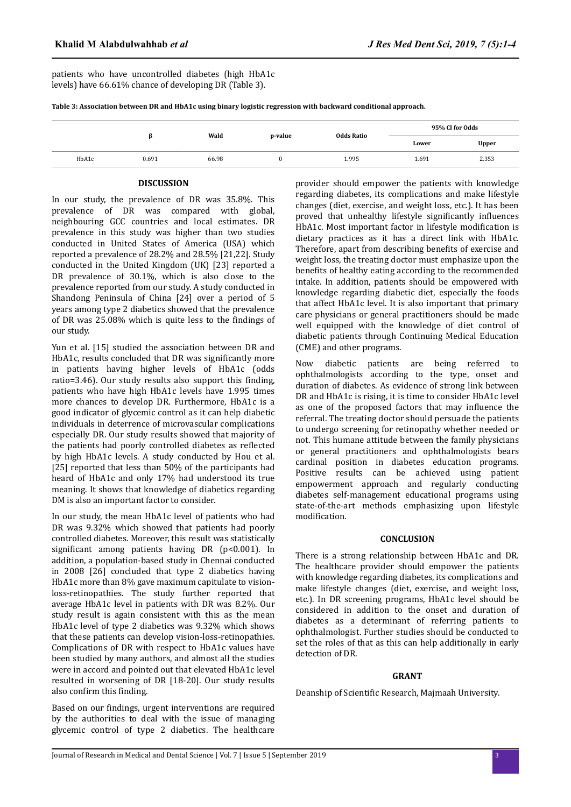**Table 3: Association between DR and HbA1c using binary logistic regression with backward conditional approach.**

|       |       | Wald<br>p-value |  | Odds Ratio | 95% CI for Odds |       |
|-------|-------|-----------------|--|------------|-----------------|-------|
|       |       |                 |  |            | Lower           | Upper |
| HbA1c | 0.691 | 66.98           |  | 1.995      | 1.691           | 2.353 |

## **DISCUSSION**

In our study, the prevalence of DR was 35.8%. This prevalence of DR was compared with global, neighbouring GCC countries and local estimates. DR prevalence in this study was higher than two studies conducted in United States of America (USA) which reported a prevalence of 28.2% and 28.5% [21,22]. Study conducted in the United Kingdom (UK) [23] reported a DR prevalence of 30.1%, which is also close to the prevalence reported from our study. A study conducted in Shandong Peninsula of China [24] over a period of 5 years among type 2 diabetics showed that the prevalence of DR was 25.08% which is quite less to the findings of our study.

Yun et al. [15] studied the association between DR and HbA1c, results concluded that DR was significantly more in patients having higher levels of HbA1c (odds ratio=3.46). Our study results also support this finding, patients who have high HbA1c levels have 1.995 times more chances to develop DR. Furthermore, HbA1c is a good indicator of glycemic control as it can help diabetic individuals in deterrence of microvascular complications especially DR. Our study results showed that majority of the patients had poorly controlled diabetes as reflected by high HbA1c levels. A study conducted by Hou et al. [25] reported that less than 50% of the participants had heard of HbA1c and only 17% had understood its true meaning. It shows that knowledge of diabetics regarding DM is also an important factor to consider.

In our study, the mean HbA1c level of patients who had DR was 9.32% which showed that patients had poorly controlled diabetes. Moreover, this result was statistically significant among patients having DR ( $p$ <0.001). In addition, a population-based study in Chennai conducted in 2008 [26] concluded that type 2 diabetics having HbA1c more than 8% gave maximum capitulate to visionloss-retinopathies. The study further reported that average HbA1c level in patients with DR was 8.2%. Our study result is again consistent with this as the mean HbA1c level of type 2 diabetics was 9.32% which shows that these patients can develop vision-loss-retinopathies. Complications of DR with respect to HbA1c values have been studied by many authors, and almost all the studies were in accord and pointed out that elevated HbA1c level resulted in worsening of DR [18-20]. Our study results also confirm this finding.

Based on our findings, urgent interventions are required by the authorities to deal with the issue of managing glycemic control of type 2 diabetics. The healthcare provider should empower the patients with knowledge regarding diabetes, its complications and make lifestyle changes (diet, exercise, and weight loss, etc.). It has been proved that unhealthy lifestyle significantly influences HbA1c. Most important factor in lifestyle modification is dietary practices as it has a direct link with HbA1c. Therefore, apart from describing benefits of exercise and weight loss, the treating doctor must emphasize upon the benefits of healthy eating according to the recommended intake. In addition, patients should be empowered with knowledge regarding diabetic diet, especially the foods that affect HbA1c level. It is also important that primary care physicians or general practitioners should be made well equipped with the knowledge of diet control of diabetic patients through Continuing Medical Education (CME) and other programs.

Now diabetic patients are being referred to ophthalmologists according to the type, onset and duration of diabetes. As evidence of strong link between DR and HbA1c is rising, it is time to consider HbA1c level as one of the proposed factors that may influence the referral. The treating doctor should persuade the patients to undergo screening for retinopathy whether needed or not. This humane attitude between the family physicians or general practitioners and ophthalmologists bears cardinal position in diabetes education programs. Positive results can be achieved using patient empowerment approach and regularly conducting diabetes self-management educational programs using state-of-the-art methods emphasizing upon lifestyle modification.

# **CONCLUSION**

There is a strong relationship between HbA1c and DR. The healthcare provider should empower the patients with knowledge regarding diabetes, its complications and make lifestyle changes (diet, exercise, and weight loss, etc.). In DR screening programs, HbA1c level should be considered in addition to the onset and duration of diabetes as a determinant of referring patients to ophthalmologist. Further studies should be conducted to set the roles of that as this can help additionally in early detection of DR.

# **GRANT**

Deanship of Scientific Research, Majmaah University.